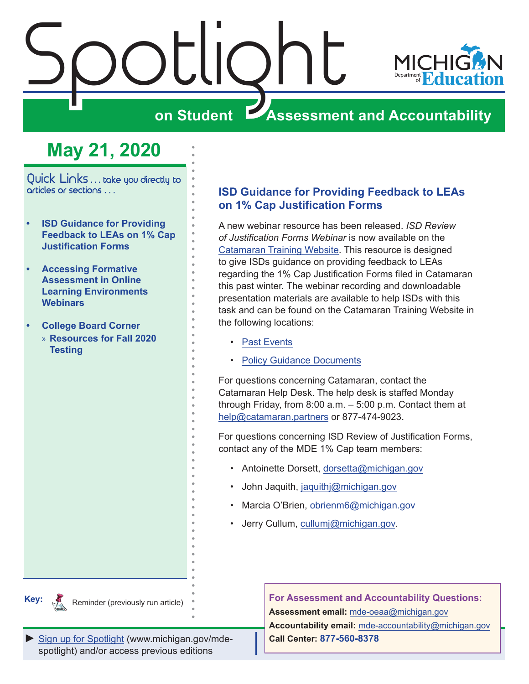<span id="page-0-0"></span>

# **May 21, 2020**

Quick Links . . . take you directly to articles or sections . . .

- **• ISD Guidance for Providing Feedback to LEAs on 1% Cap Justification Forms**
- **• [Accessing Formative](#page-1-0)  [Assessment in Online](#page-1-0)  [Learning Environments](#page-1-0)  [Webinars](#page-1-0)**
- **• [College Board Corner](#page-2-0)** 
	- » **[Resources for Fall 2020](#page-2-0)  [Testing](#page-2-0)**

## **ISD Guidance for Providing Feedback to LEAs on 1% Cap Justification Forms**

A new webinar resource has been released. *ISD Review of Justification Forms Webinar* is now available on the [Catamaran Training Website](https://training.catamaran.partners/). This resource is designed to give ISDs guidance on providing feedback to LEAs regarding the 1% Cap Justification Forms filed in Catamaran this past winter. The webinar recording and downloadable presentation materials are available to help ISDs with this task and can be found on the Catamaran Training Website in the following locations:

- [Past Events](https://training.catamaran.partners/past-events/)
- [Policy Guidance Documents](https://training.catamaran.partners/guidance-documents/)

For questions concerning Catamaran, contact the Catamaran Help Desk. The help desk is staffed Monday through Friday, from 8:00 a.m. – 5:00 p.m. Contact them at [help@catamaran.partners](https://training.catamaran.partners/guidance-documents/) or 877-474-9023.

For questions concerning ISD Review of Justification Forms, contact any of the MDE 1% Cap team members:

- Antoinette Dorsett, [dorsetta@michigan.gov](mailto:dorsetta%40michigan.gov?subject=)
- John Jaquith, [jaquithj@michigan.gov](mailto:jaquithj%40michigan.gov?subject=)
- Marcia O'Brien, [obrienm6@michigan.gov](mailto:obrienm6%40michigan.gov?subject=)
- Jerry Cullum, [cullumj@michigan.gov](mailto:https://training.catamaran.partners/guidance-documents/?subject=).

**Key:**

Reminders

Reminder (previously run article)

**For Assessment and Accountability Questions:**

**Assessment email:** mde-oeaa[@michigan.gov](mailto:mde-oeaa%40michigan.gov?subject=assessment%20question)

**Accountability email:** mde[-accountability@michigan.gov](mailto:MDE-Accountability%40michigan.gov?subject=Accountability%20question) **Call Center: 877-560-8378**

*►* [Sign up for Spotlight](https://public.govdelivery.com/accounts/MIMDE/subscriber/new) [\(www.michigan.gov/mde](www.michigan.gov/mde-spotlight)spotlight) and/or access previous editions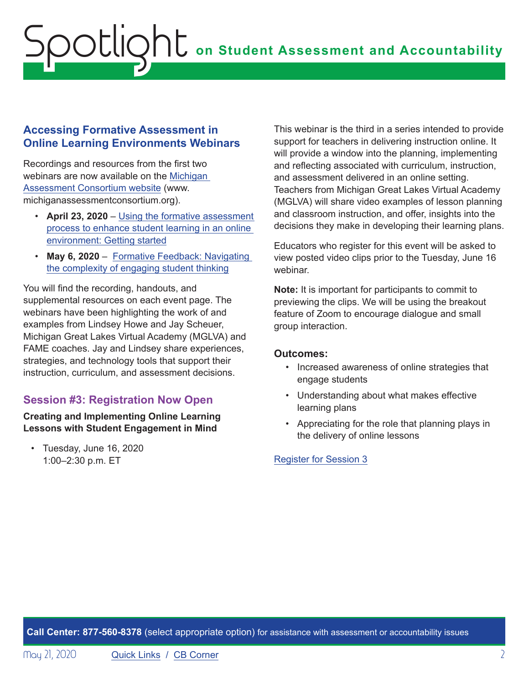### <span id="page-1-0"></span>**Accessing Formative Assessment in Online Learning Environments Webinars**

Recordings and resources from the first two webinars are now available on the [Michigan](http://www.michiganassessmentconsortium.org)  [Assessment Consortium website](http://www.michiganassessmentconsortium.org) (www. michiganassessmentconsortium.org).

- **April 23, 2020** – [Using the formative assessment](https://www.michiganassessmentconsortium.org/event/using-the-formative-assessment-process-to-enhance-student-learning-in-an-online-environment-getting-started/.)  [process to enhance student learning in an online](https://www.michiganassessmentconsortium.org/event/using-the-formative-assessment-process-to-enhance-student-learning-in-an-online-environment-getting-started/.)  [environment: Getting started](https://www.michiganassessmentconsortium.org/event/using-the-formative-assessment-process-to-enhance-student-learning-in-an-online-environment-getting-started/.)
- **May 6, 2020** [Formative Feedback: Navigating](https://www.michiganassessmentconsortium.org/event/navigating-the-complexity-of-engaging-student-thinking-using-the-formative-assessment-process-to-enhance-student-learning-in-an-online-environment/)  [the complexity of engaging student thinking](https://www.michiganassessmentconsortium.org/event/navigating-the-complexity-of-engaging-student-thinking-using-the-formative-assessment-process-to-enhance-student-learning-in-an-online-environment/)

You will find the recording, handouts, and supplemental resources on each event page. The webinars have been highlighting the work of and examples from Lindsey Howe and Jay Scheuer, Michigan Great Lakes Virtual Academy (MGLVA) and FAME coaches. Jay and Lindsey share experiences, strategies, and technology tools that support their instruction, curriculum, and assessment decisions.

# **Session #3: Registration Now Open**

### **Creating and Implementing Online Learning Lessons with Student Engagement in Mind**

• Tuesday, June 16, 2020 1:00–2:30 p.m. ET

This webinar is the third in a series intended to provide support for teachers in delivering instruction online. It will provide a window into the planning, implementing and reflecting associated with curriculum, instruction, and assessment delivered in an online setting. Teachers from Michigan Great Lakes Virtual Academy (MGLVA) will share video examples of lesson planning and classroom instruction, and offer, insights into the decisions they make in developing their learning plans.

Educators who register for this event will be asked to view posted video clips prior to the Tuesday, June 16 webinar.

**Note:** It is important for participants to commit to previewing the clips. We will be using the breakout feature of Zoom to encourage dialogue and small group interaction.

### **Outcomes:**

- Increased awareness of online strategies that engage students
- Understanding about what makes effective learning plans
- Appreciating for the role that planning plays in the delivery of online lessons

[Register for Session 3](https://www.michiganassessmentconsortium.org/event/creating-and-implementing-online-learning-lessons-with-student-engagement-in-mind/)

**Call Center: 877-560-8378** (select appropriate option) for assistance with assessment or accountability issues